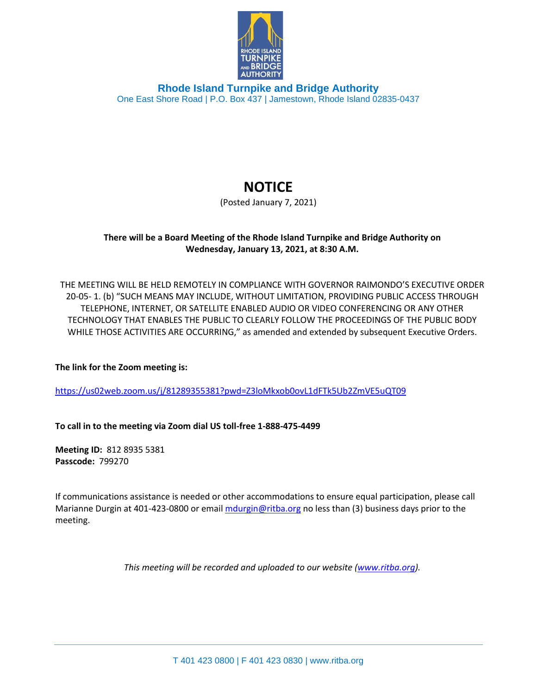

**Rhode Island Turnpike and Bridge Authority** One East Shore Road | P.O. Box 437 | Jamestown, Rhode Island 02835-0437

## **NOTICE**

(Posted January 7, 2021)

## **There will be a Board Meeting of the Rhode Island Turnpike and Bridge Authority on Wednesday, January 13, 2021, at 8:30 A.M.**

THE MEETING WILL BE HELD REMOTELY IN COMPLIANCE WITH GOVERNOR RAIMONDO'S EXECUTIVE ORDER 20-05- 1. (b) "SUCH MEANS MAY INCLUDE, WITHOUT LIMITATION, PROVIDING PUBLIC ACCESS THROUGH TELEPHONE, INTERNET, OR SATELLITE ENABLED AUDIO OR VIDEO CONFERENCING OR ANY OTHER TECHNOLOGY THAT ENABLES THE PUBLIC TO CLEARLY FOLLOW THE PROCEEDINGS OF THE PUBLIC BODY WHILE THOSE ACTIVITIES ARE OCCURRING," as amended and extended by subsequent Executive Orders.

**The link for the Zoom meeting is:**

<https://us02web.zoom.us/j/81289355381?pwd=Z3loMkxob0ovL1dFTk5Ub2ZmVE5uQT09>

**To call in to the meeting via Zoom dial US toll-free 1-888-475-4499**

**Meeting ID:** 812 8935 5381 **Passcode:** 799270

If communications assistance is needed or other accommodations to ensure equal participation, please call Marianne Durgin at 401-423-0800 or email [mdurgin@ritba.org](mailto:mdurgin@ritba.org) no less than (3) business days prior to the meeting.

*This meeting will be recorded and uploaded to our website [\(www.ritba.org\)](http://www.ritba.org/).*